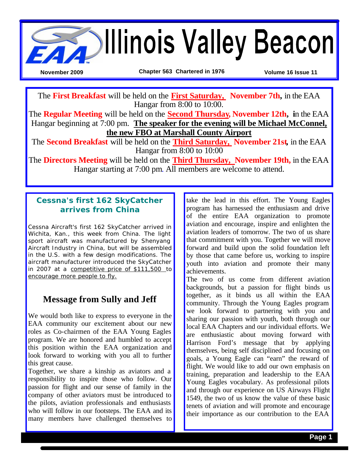

The **First Breakfast** will be held on the **First Saturday, November 7th,** in the EAA Hangar from 8:00 to 10:00.

The **Regular Meeting** will be held on the **Second Thursday, November 12th, i**n the EAA Hangar beginning at 7:00 pm. **The speaker for the evening will be Michael McConnel, the new FBO at Marshall County Airport**

The **Second Breakfast** will be held on the **Third Saturday, November 21st,** in the EAA Hangar from 8:00 to 10:00

The **Directors Meeting** will be held on the **Third Thursday, November 19th,** in the EAA Hangar starting at 7:00 pm. All members are welcome to attend.

## **Cessna's first 162 SkyCatcher arrives from China**

Cessna Aircraft's first 162 SkyCatcher arrived in Wichita, Kan., this week from China. The light sport aircraft was manufactured by Shenyang Aircraft Industry in China, but will be assembled in the U.S. with a few design modifications. The aircraft manufacturer introduced the SkyCatcher in 2007 at a competitive price of \$111,500 to encourage more people to fly.

## **Message from Sully and Jeff**

We would both like to express to everyone in the EAA community our excitement about our new roles as Co-chairmen of the EAA Young Eagles program. We are honored and humbled to accept this position within the EAA organization and look forward to working with you all to further this great cause.

Together, we share a kinship as aviators and a responsibility to inspire those who follow. Our passion for flight and our sense of family in the company of other aviators must be introduced to the pilots, aviation professionals and enthusiasts who will follow in our footsteps. The EAA and its many members have challenged themselves to

take the lead in this effort. The Young Eagles program has harnessed the enthusiasm and drive of the entire EAA organization to promote aviation and encourage, inspire and enlighten the aviation leaders of tomorrow. The two of us share that commitment with you. Together we will move forward and build upon the solid foundation left by those that came before us, working to inspire youth into aviation and promote their many achievements.

The two of us come from different aviation backgrounds, but a passion for flight binds us together, as it binds us all within the EAA community. Through the Young Eagles program we look forward to partnering with you and sharing our passion with youth, both through our local EAA Chapters and our individual efforts. We are enthusiastic about moving forward with Harrison Ford's message that by applying themselves, being self disciplined and focusing on goals, a Young Eagle can "earn" the reward of flight. We would like to add our own emphasis on training, preparation and leadership to the EAA Young Eagles vocabulary. As professional pilots and through our experience on US Airways Flight 1549, the two of us know the value of these basic tenets of aviation and will promote and encourage their importance as our contribution to the EAA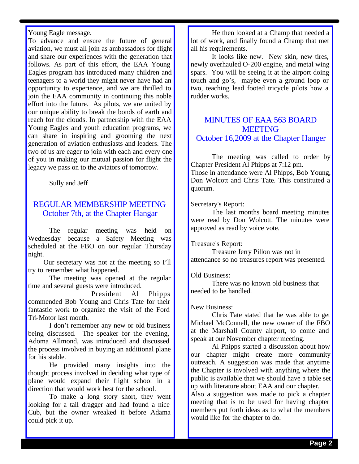Young Eagle message.

To advance and ensure the future of general aviation, we must all join as ambassadors for flight and share our experiences with the generation that follows. As part of this effort, the EAA Young Eagles program has introduced many children and teenagers to a world they might never have had an opportunity to experience, and we are thrilled to join the EAA community in continuing this noble effort into the future. As pilots, we are united by our unique ability to break the bonds of earth and reach for the clouds. In partnership with the EAA Young Eagles and youth education programs, we can share in inspiring and grooming the next generation of aviation enthusiasts and leaders. The two of us are eager to join with each and every one of you in making our mutual passion for flight the legacy we pass on to the aviators of tomorrow.

Sully and Jeff

### REGULAR MEMBERSHIP MEETING October 7th, at the Chapter Hangar

The regular meeting was held on Wednesday because a Safety Meeting was scheduled at the FBO on our regular Thursday night.

Our secretary was not at the meeting so I'll try to remember what happened.

The meeting was opened at the regular time and several guests were introduced.

President Al Phipps commended Bob Young and Chris Tate for their fantastic work to organize the visit of the Ford Tri-Motor last month.

I don't remember any new or old business being discussed. The speaker for the evening, Adoma Allmond, was introduced and discussed the process involved in buying an additional plane for his stable.

He provided many insights into the thought process involved in deciding what type of plane would expand their flight school in a direction that would work best for the school.

To make a long story short, they went looking for a tail dragger and had found a nice Cub, but the owner wreaked it before Adama could pick it up.

He then looked at a Champ that needed a lot of work, and finally found a Champ that met all his requirements.

It looks like new. New skin, new tires, newly overhauled O-200 engine, and metal wing spars. You will be seeing it at the airport doing touch and go's, maybe even a ground loop or two, teaching lead footed tricycle pilots how a rudder works.

### MINUTES OF EAA 563 BOARD **MEETING** October 16,2009 at the Chapter Hanger

The meeting was called to order by Chapter President Al Phipps at 7:12 pm.

Those in attendance were Al Phipps, Bob Young, Don Wolcott and Chris Tate. This constituted a quorum.

Secretary's Report:

The last months board meeting minutes were read by Don Wolcott. The minutes were approved as read by voice vote.

#### Treasure's Report:

Treasure Jerry Pillon was not in attendance so no treasures report was presented.

#### Old Business:

There was no known old business that needed to be handled.

#### New Business:

Chris Tate stated that he was able to get Michael McConnell, the new owner of the FBO at the Marshall County airport, to come and speak at our November chapter meeting.

Al Phipps started a discussion about how our chapter might create more community outreach. A suggestion was made that anytime the Chapter is involved with anything where the public is available that we should have a table set up with literature about EAA and our chapter.

Also a suggestion was made to pick a chapter meeting that is to be used for having chapter members put forth ideas as to what the members would like for the chapter to do.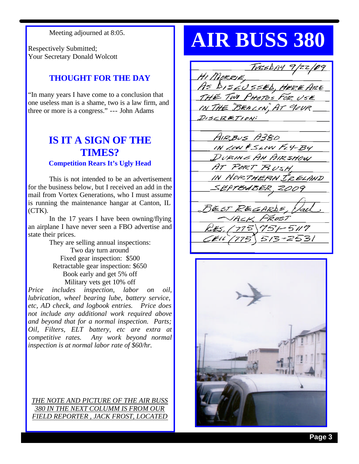Meeting adjourned at 8:05.

Respectively Submitted; Your Secretary Donald Wolcott

## **THOUGHT FOR THE DAY**

"In many years I have come to a conclusion that one useless man is a shame, two is a law firm, and three or more is a congress." --- John Adams

## **IS IT A SIGN OF THE TIMES? Competition Rears It's Ugly Head**

This is not intended to be an advertisement for the business below, but I received an add in the mail from Vortex Generations, who I must assume is running the maintenance hangar at Canton, IL (CTK).

In the 17 years I have been owning/flying an airplane I have never seen a FBO advertise and state their prices.

> They are selling annual inspections: Two day turn around Fixed gear inspection: \$500 Retractable gear inspection: \$650 Book early and get 5% off Military vets get 10% off

*Price includes inspection, labor on oil, lubrication, wheel bearing lube, battery service, etc, AD check, and logbook entries. Price does not include any additional work required above and beyond that for a normal inspection. Parts; Oil, Filters, ELT battery, etc are extra at competitive rates. Any work beyond normal inspection is at normal labor rate of \$60/hr.*

*THE NOTE AND PICTURE OF THE AIR BUSS 380 IN THE NEXT COLUMM IS FROM OUR FIELD REPORTER , JACK FROST, LOCATED* 

# **AIR BUSS 380**

TUESDAY 9/22/09 HI MORRIE, AS DISLUSSED, HERE ARE THE TWO PHOTOS FOR USE IN THE "BEALON, AT YOUR  $D$ <sub>156</sub> $R$  $K$ TION; AIRBUS A380 IN LOW FSLOW FLY-BY DURING AN AIRSHOW AT PORT RUSH. IN NORTHERN IZELAND SEPTEMBER, 2009 BEST REGARDS,  $75 - 5117$ 513-2531

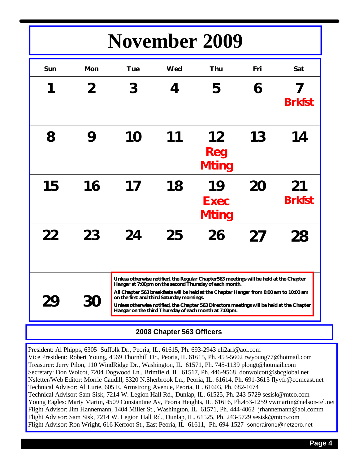# **November 2009**

| Sun | <b>Mon</b> | <b>Tue</b>                                                                                                                                                                                                                                                                                                                                                                                                                                    | Wed | Thu                               | Fri | Sat                 |
|-----|------------|-----------------------------------------------------------------------------------------------------------------------------------------------------------------------------------------------------------------------------------------------------------------------------------------------------------------------------------------------------------------------------------------------------------------------------------------------|-----|-----------------------------------|-----|---------------------|
| 1   | 2          | 3                                                                                                                                                                                                                                                                                                                                                                                                                                             | 4   | 5                                 | 6   | <b>Brkfst</b>       |
| 8   | 9          | 10                                                                                                                                                                                                                                                                                                                                                                                                                                            | 11  | 12<br><b>Reg</b><br><b>Mting</b>  | 13  | 14                  |
| 15  | 16         | 17                                                                                                                                                                                                                                                                                                                                                                                                                                            | 18  | 19<br><b>Exec</b><br><b>Mting</b> | 20  | 21<br><b>Brkfst</b> |
| 22  | 23         | 24                                                                                                                                                                                                                                                                                                                                                                                                                                            | 25  | 26                                | 27  | 28                  |
| 29  | <b>30</b>  | Unless otherwise notified, the Regular Chapter563 meetings will be held at the Chapter<br>Hangar at 7:00pm on the second Thursday of each month.<br>All Chapter 563 breakfasts will be held at the Chapter Hangar from 8:00 am to 10:00 am<br>on the first and third Saturday mornings.<br>Unless otherwise notified, the Chapter 563 Directors meetings will be held at the Chapter<br>Hangar on the third Thursday of each month at 7:00pm. |     |                                   |     |                     |

## **2008 Chapter 563 Officers**

President: Al Phipps, 6305 Suffolk Dr., Peoria, IL, 61615, Ph. 693-2943 eli2arl@aol.com Vice President: Robert Young, 4569 Thornhill Dr., Peoria, IL 61615, Ph. 453-5602 rwyoung77@hotmail.com Treasurer: Jerry Pilon, 110 WindRidge Dr., Washington, IL 61571, Ph. 745-1139 plongt@hotmail.com Secretary: Don Wolcot, 7204 Dogwood Ln., Brimfield, IL. 61517, Ph. 446-9568 donwolcott@sbcglobal.net Nsletter/Web Editor: Morrie Caudill, 5320 N.Sherbrook Ln., Peoria, IL. 61614, Ph. 691-3613 flyvfr@comcast.net Technical Advisor: Al Lurie, 605 E. Armstrong Avenue, Peoria, IL. 61603, Ph. 682-1674 Technical Advisor: Sam Sisk, 7214 W. Legion Hall Rd., Dunlap, IL. 61525, Ph. 243-5729 sesisk@mtco.com Young Eagles: Marty Martin, 4509 Constantine Av, Peoria Heights, IL. 61616, Ph.453-1259 vwmartin@nelson-tel.net Flight Advisor: Jim Hannemann, 1404 Miller St., Washington, IL. 61571, Ph. 444-4062 jrhannemann@aol.comm Flight Advisor: Sam Sisk, 7214 W. Legion Hall Rd., Dunlap, IL. 61525, Ph. 243-5729 sesisk@mtco.com Flight Advisor: Ron Wright, 616 Kerfoot St., East Peoria, IL 61611, Ph. 694-1527 sonerairon1@netzero.net